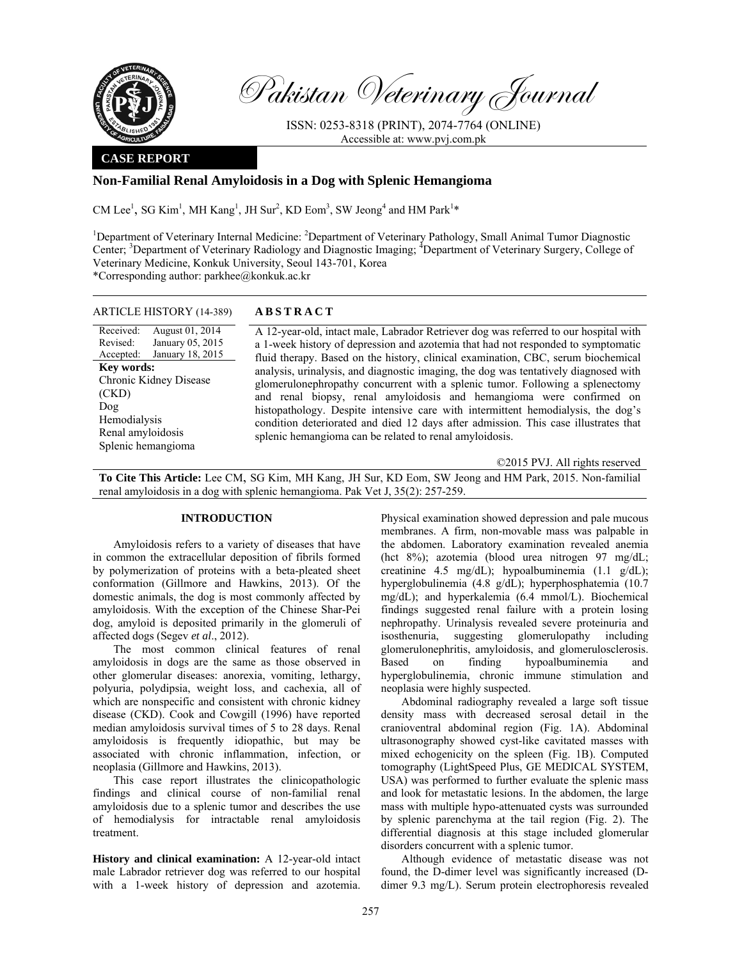

Pakistan Veterinary Journal

ISSN: 0253-8318 (PRINT), 2074-7764 (ONLINE) Accessible at: www.pvj.com.pk

## **CASE REPORT**

## **Non-Familial Renal Amyloidosis in a Dog with Splenic Hemangioma**

CM Lee<sup>1</sup>, SG Kim<sup>1</sup>, MH Kang<sup>1</sup>, JH Sur<sup>2</sup>, KD Eom<sup>3</sup>, SW Jeong<sup>4</sup> and HM Park<sup>1\*</sup>

<sup>1</sup>Department of Veterinary Internal Medicine: <sup>2</sup>Department of Veterinary Pathology, Small Animal Tumor Diagnostic Center; <sup>3</sup>Department of Veterinary Radiology and Diagnostic Imaging; <sup>4</sup>Department of Veterinary Surgery, College of Veterinary Medicine, Konkuk University, Seoul 143-701, Korea \*Corresponding author: parkhee@konkuk.ac.kr

### ARTICLE HISTORY (14-389) **ABSTRACT**

Received: Revised: Accepted: August 01, 2014 January 05, 2015 January 18, 2015 **Key words:**  Chronic Kidney Disease (CKD) Dog Hemodialysis Renal amyloidosis Splenic hemangioma

 A 12-year-old, intact male, Labrador Retriever dog was referred to our hospital with a 1-week history of depression and azotemia that had not responded to symptomatic fluid therapy. Based on the history, clinical examination, CBC, serum biochemical analysis, urinalysis, and diagnostic imaging, the dog was tentatively diagnosed with glomerulonephropathy concurrent with a splenic tumor. Following a splenectomy and renal biopsy, renal amyloidosis and hemangioma were confirmed on histopathology. Despite intensive care with intermittent hemodialysis, the dog's condition deteriorated and died 12 days after admission. This case illustrates that splenic hemangioma can be related to renal amyloidosis.

©2015 PVJ. All rights reserved

**To Cite This Article:** Lee CM, SG Kim, MH Kang, JH Sur, KD Eom, SW Jeong and HM Park, 2015. Non-familial renal amyloidosis in a dog with splenic hemangioma. Pak Vet J, 35(2): 257-259.

# **INTRODUCTION**

Amyloidosis refers to a variety of diseases that have in common the extracellular deposition of fibrils formed by polymerization of proteins with a beta-pleated sheet conformation (Gillmore and Hawkins, 2013). Of the domestic animals, the dog is most commonly affected by amyloidosis. With the exception of the Chinese Shar-Pei dog, amyloid is deposited primarily in the glomeruli of affected dogs (Segev *et al*., 2012).

The most common clinical features of renal amyloidosis in dogs are the same as those observed in other glomerular diseases: anorexia, vomiting, lethargy, polyuria, polydipsia, weight loss, and cachexia, all of which are nonspecific and consistent with chronic kidney disease (CKD). Cook and Cowgill (1996) have reported median amyloidosis survival times of 5 to 28 days. Renal amyloidosis is frequently idiopathic, but may be associated with chronic inflammation, infection, or neoplasia (Gillmore and Hawkins, 2013).

This case report illustrates the clinicopathologic findings and clinical course of non-familial renal amyloidosis due to a splenic tumor and describes the use of hemodialysis for intractable renal amyloidosis treatment.

**History and clinical examination:** A 12-year-old intact male Labrador retriever dog was referred to our hospital with a 1-week history of depression and azotemia.

Physical examination showed depression and pale mucous membranes. A firm, non-movable mass was palpable in the abdomen. Laboratory examination revealed anemia (hct 8%); azotemia (blood urea nitrogen 97 mg/dL; creatinine 4.5 mg/dL); hypoalbuminemia (1.1 g/dL); hyperglobulinemia (4.8 g/dL); hyperphosphatemia (10.7 mg/dL); and hyperkalemia (6.4 mmol/L). Biochemical findings suggested renal failure with a protein losing nephropathy. Urinalysis revealed severe proteinuria and isosthenuria, suggesting glomerulopathy including glomerulonephritis, amyloidosis, and glomerulosclerosis. Based on finding hypoalbuminemia and hyperglobulinemia, chronic immune stimulation and neoplasia were highly suspected.

Abdominal radiography revealed a large soft tissue density mass with decreased serosal detail in the cranioventral abdominal region (Fig. 1A). Abdominal ultrasonography showed cyst-like cavitated masses with mixed echogenicity on the spleen (Fig. 1B). Computed tomography (LightSpeed Plus, GE MEDICAL SYSTEM, USA) was performed to further evaluate the splenic mass and look for metastatic lesions. In the abdomen, the large mass with multiple hypo-attenuated cysts was surrounded by splenic parenchyma at the tail region (Fig. 2). The differential diagnosis at this stage included glomerular disorders concurrent with a splenic tumor.

Although evidence of metastatic disease was not found, the D-dimer level was significantly increased (Ddimer 9.3 mg/L). Serum protein electrophoresis revealed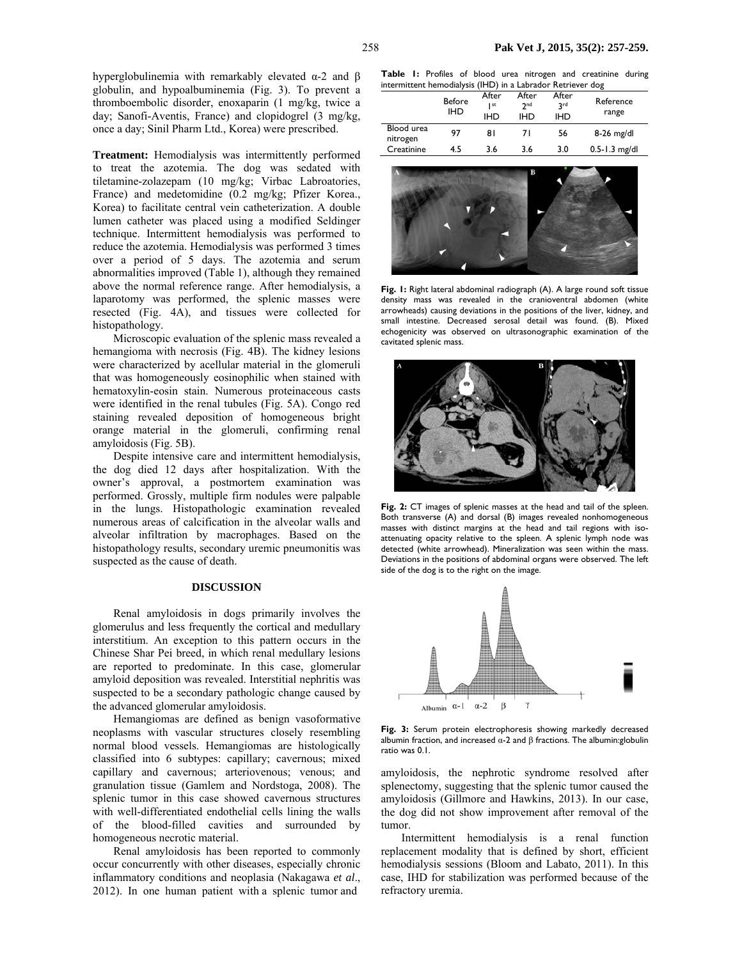hyperglobulinemia with remarkably elevated α-2 and β globulin, and hypoalbuminemia (Fig. 3). To prevent a thromboembolic disorder, enoxaparin (1 mg/kg, twice a day; Sanofi-Aventis, France) and clopidogrel (3 mg/kg, once a day; Sinil Pharm Ltd., Korea) were prescribed.

**Treatment:** Hemodialysis was intermittently performed to treat the azotemia. The dog was sedated with tiletamine-zolazepam (10 mg/kg; Virbac Labroatories, France) and medetomidine (0.2 mg/kg; Pfizer Korea., Korea) to facilitate central vein catheterization. A double lumen catheter was placed using a modified Seldinger technique. Intermittent hemodialysis was performed to reduce the azotemia. Hemodialysis was performed 3 times over a period of 5 days. The azotemia and serum abnormalities improved (Table 1), although they remained above the normal reference range. After hemodialysis, a laparotomy was performed, the splenic masses were resected (Fig. 4A), and tissues were collected for histopathology.

Microscopic evaluation of the splenic mass revealed a hemangioma with necrosis (Fig. 4B). The kidney lesions were characterized by acellular material in the glomeruli that was homogeneously eosinophilic when stained with hematoxylin-eosin stain. Numerous proteinaceous casts were identified in the renal tubules (Fig. 5A). Congo red staining revealed deposition of homogeneous bright orange material in the glomeruli, confirming renal amyloidosis (Fig. 5B).

Despite intensive care and intermittent hemodialysis, the dog died 12 days after hospitalization. With the owner's approval, a postmortem examination was performed. Grossly, multiple firm nodules were palpable in the lungs. Histopathologic examination revealed numerous areas of calcification in the alveolar walls and alveolar infiltration by macrophages. Based on the histopathology results, secondary uremic pneumonitis was suspected as the cause of death.

## **DISCUSSION**

Renal amyloidosis in dogs primarily involves the glomerulus and less frequently the cortical and medullary interstitium. An exception to this pattern occurs in the Chinese Shar Pei breed, in which renal medullary lesions are reported to predominate. In this case, glomerular amyloid deposition was revealed. Interstitial nephritis was suspected to be a secondary pathologic change caused by the advanced glomerular amyloidosis.

Hemangiomas are defined as benign vasoformative neoplasms with vascular structures closely resembling normal blood vessels. Hemangiomas are histologically classified into 6 subtypes: capillary; cavernous; mixed capillary and cavernous; arteriovenous; venous; and granulation tissue (Gamlem and Nordstoga, 2008). The splenic tumor in this case showed cavernous structures with well-differentiated endothelial cells lining the walls of the blood-filled cavities and surrounded by homogeneous necrotic material.

Renal amyloidosis has been reported to commonly occur concurrently with other diseases, especially chronic inflammatory conditions and neoplasia (Nakagawa *et al*., 2012). In one human patient with a splenic tumor and

**Table 1:** Profiles of blood urea nitrogen and creatinine during intermittent hemodialysis (IHD) in a Labrador Retriever dog

|                        | <b>Before</b><br><b>IHD</b> | After<br>  st<br><b>IHD</b> | After<br>2 <sub>nd</sub><br><b>IHD</b> | After<br><b>Rrd</b><br><b>IHD</b> | Reference<br>range |
|------------------------|-----------------------------|-----------------------------|----------------------------------------|-----------------------------------|--------------------|
| Blood urea<br>nitrogen | 97                          | 81                          | 71                                     | 56                                | $8-26$ mg/dl       |
| Creatinine             | 4.5                         | 3.6                         | 3.6                                    | 3.0                               | $0.5 - 1.3$ mg/dl  |



**Fig. 1:** Right lateral abdominal radiograph (A). A large round soft tissue density mass was revealed in the cranioventral abdomen (white arrowheads) causing deviations in the positions of the liver, kidney, and small intestine. Decreased serosal detail was found. (B). Mixed echogenicity was observed on ultrasonographic examination of the cavitated splenic mass.



**Fig. 2:** CT images of splenic masses at the head and tail of the spleen. Both transverse (A) and dorsal (B) images revealed nonhomogeneous masses with distinct margins at the head and tail regions with isoattenuating opacity relative to the spleen. A splenic lymph node was detected (white arrowhead). Mineralization was seen within the mass. Deviations in the positions of abdominal organs were observed. The left side of the dog is to the right on the image.



**Fig. 3:** Serum protein electrophoresis showing markedly decreased albumin fraction, and increased  $\alpha$ -2 and  $\beta$  fractions. The albumin:globulin ratio was 0.1.

amyloidosis, the nephrotic syndrome resolved after splenectomy, suggesting that the splenic tumor caused the amyloidosis (Gillmore and Hawkins, 2013). In our case, the dog did not show improvement after removal of the tumor.

Intermittent hemodialysis is a renal function replacement modality that is defined by short, efficient hemodialysis sessions (Bloom and Labato, 2011). In this case, IHD for stabilization was performed because of the refractory uremia.